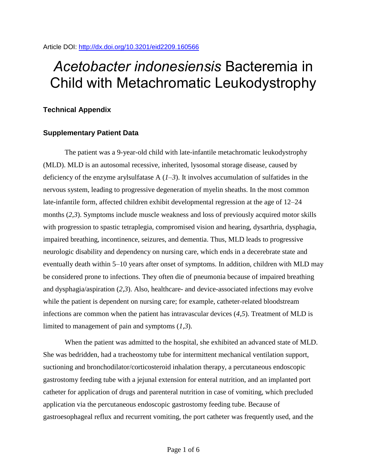# *Acetobacter indonesiensis* Bacteremia in Child with Metachromatic Leukodystrophy

## **Technical Appendix**

## **Supplementary Patient Data**

The patient was a 9-year-old child with late-infantile metachromatic leukodystrophy (MLD). MLD is an autosomal recessive, inherited, lysosomal storage disease, caused by deficiency of the enzyme arylsulfatase A (*1–3*). It involves accumulation of sulfatides in the nervous system, leading to progressive degeneration of myelin sheaths. In the most common late-infantile form, affected children exhibit developmental regression at the age of 12–24 months (*2,3*). Symptoms include muscle weakness and loss of previously acquired motor skills with progression to spastic tetraplegia, compromised vision and hearing, dysarthria, dysphagia, impaired breathing, incontinence, seizures, and dementia. Thus, MLD leads to progressive neurologic disability and dependency on nursing care, which ends in a decerebrate state and eventually death within 5–10 years after onset of symptoms. In addition, children with MLD may be considered prone to infections. They often die of pneumonia because of impaired breathing and dysphagia/aspiration (*2,3*). Also, healthcare- and device-associated infections may evolve while the patient is dependent on nursing care; for example, catheter-related bloodstream infections are common when the patient has intravascular devices (*4,5*). Treatment of MLD is limited to management of pain and symptoms (*1,3*).

When the patient was admitted to the hospital, she exhibited an advanced state of MLD. She was bedridden, had a tracheostomy tube for intermittent mechanical ventilation support, suctioning and bronchodilator/corticosteroid inhalation therapy, a percutaneous endoscopic gastrostomy feeding tube with a jejunal extension for enteral nutrition, and an implanted port catheter for application of drugs and parenteral nutrition in case of vomiting, which precluded application via the percutaneous endoscopic gastrostomy feeding tube. Because of gastroesophageal reflux and recurrent vomiting, the port catheter was frequently used, and the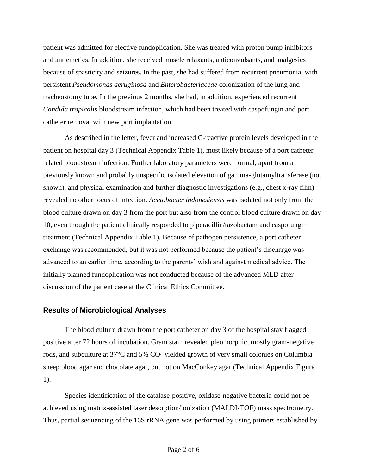patient was admitted for elective fundoplication. She was treated with proton pump inhibitors and antiemetics. In addition, she received muscle relaxants, anticonvulsants, and analgesics because of spasticity and seizures. In the past, she had suffered from recurrent pneumonia, with persistent *Pseudomonas aeruginosa* and *Enterobacteriaceae* colonization of the lung and tracheostomy tube. In the previous 2 months, she had, in addition, experienced recurrent *Candida tropicalis* bloodstream infection, which had been treated with caspofungin and port catheter removal with new port implantation.

As described in the letter, fever and increased C-reactive protein levels developed in the patient on hospital day 3 (Technical Appendix Table 1), most likely because of a port catheter– related bloodstream infection. Further laboratory parameters were normal, apart from a previously known and probably unspecific isolated elevation of gamma-glutamyltransferase (not shown), and physical examination and further diagnostic investigations (e.g., chest x-ray film) revealed no other focus of infection. *Acetobacter indonesiensis* was isolated not only from the blood culture drawn on day 3 from the port but also from the control blood culture drawn on day 10, even though the patient clinically responded to piperacillin/tazobactam and caspofungin treatment (Technical Appendix Table 1). Because of pathogen persistence, a port catheter exchange was recommended, but it was not performed because the patient's discharge was advanced to an earlier time, according to the parents' wish and against medical advice. The initially planned fundoplication was not conducted because of the advanced MLD after discussion of the patient case at the Clinical Ethics Committee.

### **Results of Microbiological Analyses**

The blood culture drawn from the port catheter on day 3 of the hospital stay flagged positive after 72 hours of incubation. Gram stain revealed pleomorphic, mostly gram-negative rods, and subculture at 37°C and 5% CO<sup>2</sup> yielded growth of very small colonies on Columbia sheep blood agar and chocolate agar, but not on MacConkey agar (Technical Appendix Figure 1).

Species identification of the catalase-positive, oxidase-negative bacteria could not be achieved using matrix-assisted laser desorption/ionization (MALDI-TOF) mass spectrometry. Thus, partial sequencing of the 16S rRNA gene was performed by using primers established by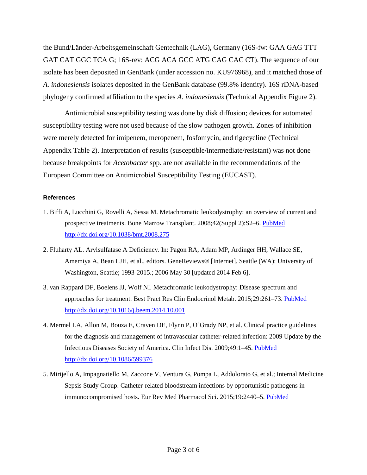the Bund/Länder-Arbeitsgemeinschaft Gentechnik (LAG), Germany (16S-fw: GAA GAG TTT GAT CAT GGC TCA G; 16S-rev: ACG ACA GCC ATG CAG CAC CT). The sequence of our isolate has been deposited in GenBank (under accession no. KU976968), and it matched those of *A. indonesiensis* isolates deposited in the GenBank database (99.8% identity). 16S rDNA-based phylogeny confirmed affiliation to the species *A. indonesiensis* (Technical Appendix Figure 2).

Antimicrobial susceptibility testing was done by disk diffusion; devices for automated susceptibility testing were not used because of the slow pathogen growth. Zones of inhibition were merely detected for imipenem, meropenem, fosfomycin, and tigecycline (Technical Appendix Table 2). Interpretation of results (susceptible/intermediate/resistant) was not done because breakpoints for *Acetobacter* spp. are not available in the recommendations of the European Committee on Antimicrobial Susceptibility Testing (EUCAST).

### **References**

- 1. Biffi A, Lucchini G, Rovelli A, Sessa M. Metachromatic leukodystrophy: an overview of current and prospective treatments. Bone Marrow Transplant. 2008;42(Suppl 2):S2–6. [PubMed](http://www.ncbi.nlm.nih.gov/entrez/query.fcgi?cmd=Retrieve&db=PubMed&list_uids=18978739&dopt=Abstract) <http://dx.doi.org/10.1038/bmt.2008.275>
- 2. Fluharty AL. Arylsulfatase A Deficiency. In: Pagon RA, Adam MP, Ardinger HH, Wallace SE, Amemiya A, Bean LJH, et al., editors. GeneReviews® [Internet]. Seattle (WA): University of Washington, Seattle; 1993-2015.; 2006 May 30 [updated 2014 Feb 6].
- 3. van Rappard DF, Boelens JJ, Wolf NI. Metachromatic leukodystrophy: Disease spectrum and approaches for treatment. Best Pract Res Clin Endocrinol Metab. 2015;29:261–73. [PubMed](http://www.ncbi.nlm.nih.gov/entrez/query.fcgi?cmd=Retrieve&db=PubMed&list_uids=25987178&dopt=Abstract) <http://dx.doi.org/10.1016/j.beem.2014.10.001>
- 4. Mermel LA, Allon M, Bouza E, Craven DE, Flynn P, O'Grady NP, et al. Clinical practice guidelines for the diagnosis and management of intravascular catheter-related infection: 2009 Update by the Infectious Diseases Society of America. Clin Infect Dis. 2009;49:1–45. [PubMed](http://www.ncbi.nlm.nih.gov/entrez/query.fcgi?cmd=Retrieve&db=PubMed&list_uids=19489710&dopt=Abstract) <http://dx.doi.org/10.1086/599376>
- 5. Mirijello A, Impagnatiello M, Zaccone V, Ventura G, Pompa L, Addolorato G, et al.; Internal Medicine Sepsis Study Group. Catheter-related bloodstream infections by opportunistic pathogens in immunocompromised hosts. Eur Rev Med Pharmacol Sci. 2015;19:2440–5. [PubMed](http://www.ncbi.nlm.nih.gov/entrez/query.fcgi?cmd=Retrieve&db=PubMed&list_uids=26214780&dopt=Abstract)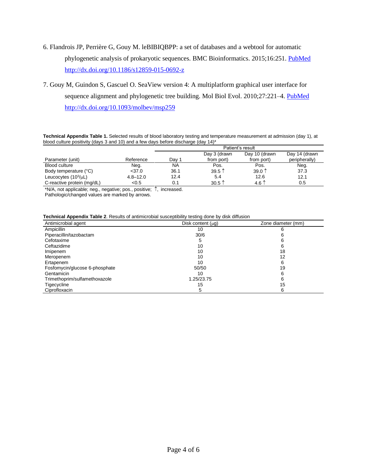- 6. Flandrois JP, Perrière G, Gouy M. leBIBIQBPP: a set of databases and a webtool for automatic phylogenetic analysis of prokaryotic sequences. BMC Bioinformatics. 2015;16:251. [PubMed](http://www.ncbi.nlm.nih.gov/entrez/query.fcgi?cmd=Retrieve&db=PubMed&list_uids=26264559&dopt=Abstract) <http://dx.doi.org/10.1186/s12859-015-0692-z>
- 7. Gouy M, Guindon S, Gascuel O. SeaView version 4: A multiplatform graphical user interface for sequence alignment and phylogenetic tree building. Mol Biol Evol. 2010;27:221–4. [PubMed](http://www.ncbi.nlm.nih.gov/entrez/query.fcgi?cmd=Retrieve&db=PubMed&list_uids=19854763&dopt=Abstract) <http://dx.doi.org/10.1093/molbev/msp259>

**Technical Appendix Table 1.** Selected results of blood laboratory testing and temperature measurement at admission (day 1), at blood culture positivity (days 3 and 10) and a few days before discharge (day 14)<sup>\*</sup>

|                            |              | Patient's result |                   |                |               |
|----------------------------|--------------|------------------|-------------------|----------------|---------------|
|                            |              |                  | Day 3 (drawn      | Day 10 (drawn  | Day 14 (drawn |
| Parameter (unit)           | Reference    | Day              | from port)        | from port)     | peripherally) |
| <b>Blood culture</b>       | Neg.         | <b>NA</b>        | Pos.              | Pos.           | Neg.          |
| Body temperature (°C)      | $<$ 37.0     | 36.1             | $39.5$ 1          | 39.0 $^$       | 37.3          |
| Leucocytes $(10^3/\mu L)$  | $4.8 - 12.0$ | 12.4             | 5.4               | 12.6           | 12.1          |
| C-reactive protein (mg/dL) | < 0.5        | 0.1              | $30.5$ $\uparrow$ | 4.6 $\uparrow$ | $0.5\,$       |

 $N/A$ , not applicable; neg., negative; pos., positive;  $\uparrow$ , increased.

Pathologic/changed values are marked by arrows.

#### **Technical Appendix Table 2**. Results of antimicrobial susceptibility testing done by disk diffusion

| Antimicrobial agent            | Disk content $(\mu q)$ | Zone diameter (mm) |  |
|--------------------------------|------------------------|--------------------|--|
| Ampicillin                     | 10                     |                    |  |
| Piperacillin/tazobactam        | 30/6                   |                    |  |
| Cefotaxime                     | 5                      |                    |  |
| Ceftazidime                    | 10                     | b                  |  |
| Imipenem                       | 10                     | 18                 |  |
| Meropenem                      | 10                     | 12                 |  |
| Ertapenem                      | 10                     | 6                  |  |
| Fosfomycin/glucose 6-phosphate | 50/50                  | 19                 |  |
| Gentamicin                     | 10                     |                    |  |
| Trimethoprim/sulfamethoxazole  | 1.25/23.75             |                    |  |
| Tigecycline                    | 15                     | 15                 |  |
| Ciprofloxacin                  |                        | 6                  |  |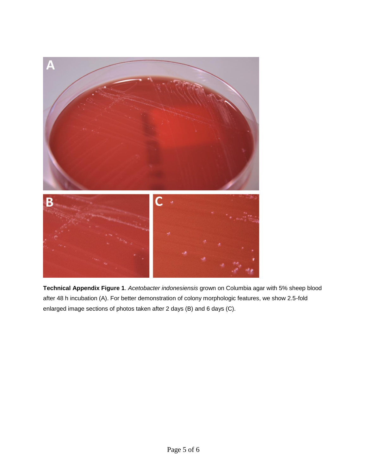

**Technical Appendix Figure 1**. *Acetobacter indonesiensis* grown on Columbia agar with 5% sheep blood after 48 h incubation (A). For better demonstration of colony morphologic features, we show 2.5-fold enlarged image sections of photos taken after 2 days (B) and 6 days (C).